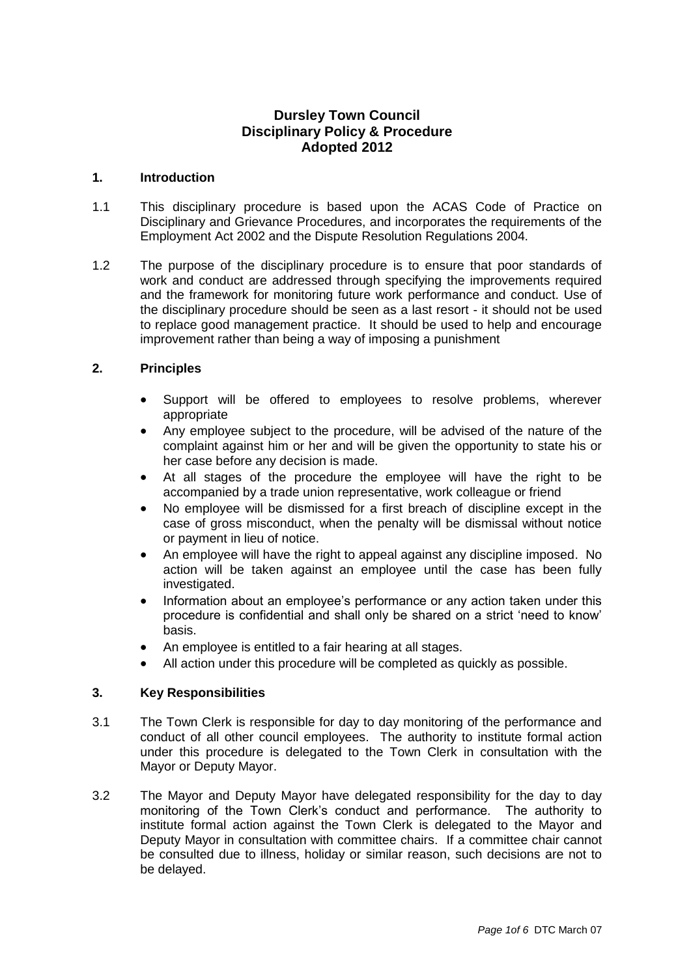# **Dursley Town Council Disciplinary Policy & Procedure Adopted 2012**

#### **1. Introduction**

- 1.1 This disciplinary procedure is based upon the ACAS Code of Practice on Disciplinary and Grievance Procedures, and incorporates the requirements of the Employment Act 2002 and the Dispute Resolution Regulations 2004.
- 1.2 The purpose of the disciplinary procedure is to ensure that poor standards of work and conduct are addressed through specifying the improvements required and the framework for monitoring future work performance and conduct. Use of the disciplinary procedure should be seen as a last resort - it should not be used to replace good management practice. It should be used to help and encourage improvement rather than being a way of imposing a punishment

# **2. Principles**

- Support will be offered to employees to resolve problems, wherever appropriate
- Any employee subject to the procedure, will be advised of the nature of the complaint against him or her and will be given the opportunity to state his or her case before any decision is made.
- At all stages of the procedure the employee will have the right to be accompanied by a trade union representative, work colleague or friend
- No employee will be dismissed for a first breach of discipline except in the case of gross misconduct, when the penalty will be dismissal without notice or payment in lieu of notice.
- An employee will have the right to appeal against any discipline imposed. No action will be taken against an employee until the case has been fully investigated.
- Information about an employee's performance or any action taken under this procedure is confidential and shall only be shared on a strict 'need to know' basis.
- An employee is entitled to a fair hearing at all stages.
- All action under this procedure will be completed as quickly as possible.

# **3. Key Responsibilities**

- 3.1 The Town Clerk is responsible for day to day monitoring of the performance and conduct of all other council employees. The authority to institute formal action under this procedure is delegated to the Town Clerk in consultation with the Mayor or Deputy Mayor.
- 3.2 The Mayor and Deputy Mayor have delegated responsibility for the day to day monitoring of the Town Clerk's conduct and performance. The authority to institute formal action against the Town Clerk is delegated to the Mayor and Deputy Mayor in consultation with committee chairs. If a committee chair cannot be consulted due to illness, holiday or similar reason, such decisions are not to be delayed.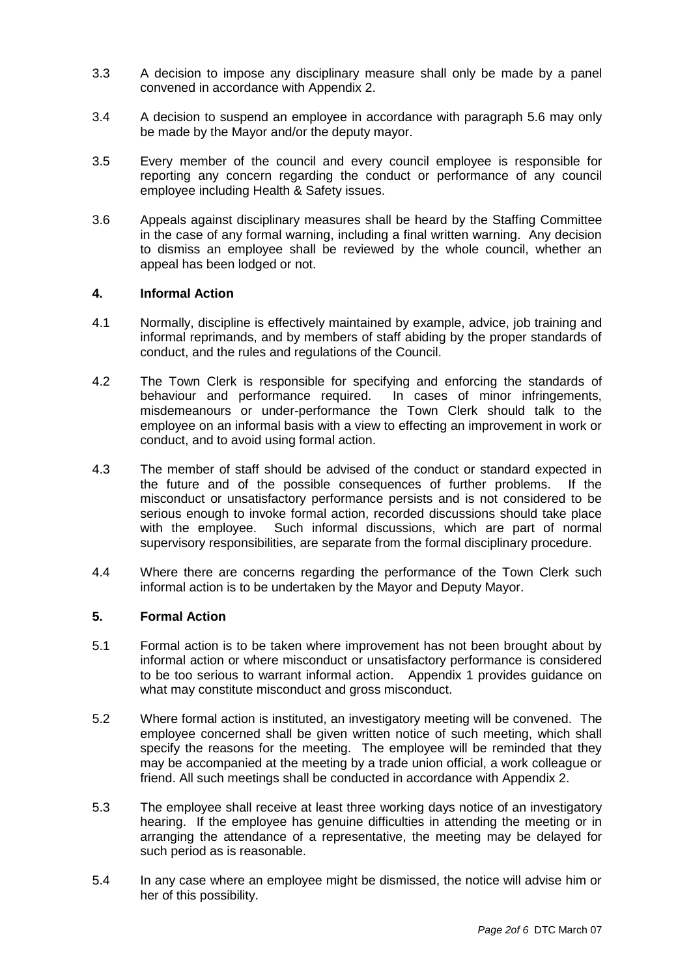- 3.3 A decision to impose any disciplinary measure shall only be made by a panel convened in accordance with Appendix 2.
- 3.4 A decision to suspend an employee in accordance with paragraph 5.6 may only be made by the Mayor and/or the deputy mayor.
- 3.5 Every member of the council and every council employee is responsible for reporting any concern regarding the conduct or performance of any council employee including Health & Safety issues.
- 3.6 Appeals against disciplinary measures shall be heard by the Staffing Committee in the case of any formal warning, including a final written warning. Any decision to dismiss an employee shall be reviewed by the whole council, whether an appeal has been lodged or not.

#### **4. Informal Action**

- 4.1 Normally, discipline is effectively maintained by example, advice, job training and informal reprimands, and by members of staff abiding by the proper standards of conduct, and the rules and regulations of the Council.
- 4.2 The Town Clerk is responsible for specifying and enforcing the standards of behaviour and performance required. In cases of minor infringements, misdemeanours or under-performance the Town Clerk should talk to the employee on an informal basis with a view to effecting an improvement in work or conduct, and to avoid using formal action.
- 4.3 The member of staff should be advised of the conduct or standard expected in the future and of the possible consequences of further problems. If the misconduct or unsatisfactory performance persists and is not considered to be serious enough to invoke formal action, recorded discussions should take place with the employee. Such informal discussions, which are part of normal supervisory responsibilities, are separate from the formal disciplinary procedure.
- 4.4 Where there are concerns regarding the performance of the Town Clerk such informal action is to be undertaken by the Mayor and Deputy Mayor.

#### **5. Formal Action**

- 5.1 Formal action is to be taken where improvement has not been brought about by informal action or where misconduct or unsatisfactory performance is considered to be too serious to warrant informal action. Appendix 1 provides guidance on what may constitute misconduct and gross misconduct.
- 5.2 Where formal action is instituted, an investigatory meeting will be convened. The employee concerned shall be given written notice of such meeting, which shall specify the reasons for the meeting. The employee will be reminded that they may be accompanied at the meeting by a trade union official, a work colleague or friend. All such meetings shall be conducted in accordance with Appendix 2.
- 5.3 The employee shall receive at least three working days notice of an investigatory hearing. If the employee has genuine difficulties in attending the meeting or in arranging the attendance of a representative, the meeting may be delayed for such period as is reasonable.
- 5.4 In any case where an employee might be dismissed, the notice will advise him or her of this possibility.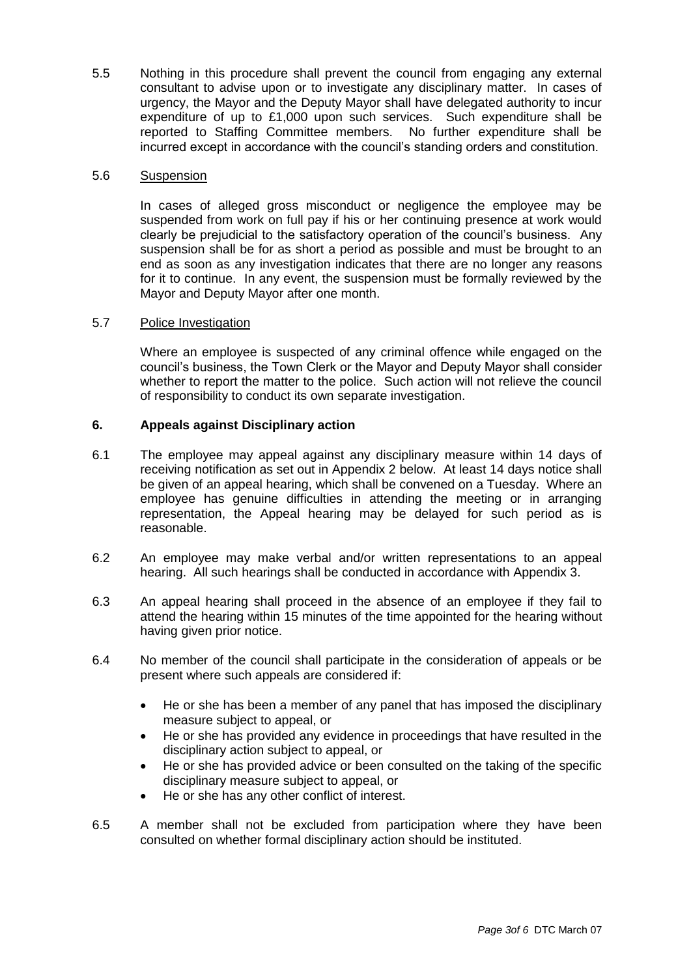5.5 Nothing in this procedure shall prevent the council from engaging any external consultant to advise upon or to investigate any disciplinary matter. In cases of urgency, the Mayor and the Deputy Mayor shall have delegated authority to incur expenditure of up to £1,000 upon such services. Such expenditure shall be reported to Staffing Committee members. No further expenditure shall be incurred except in accordance with the council's standing orders and constitution.

### 5.6 Suspension

In cases of alleged gross misconduct or negligence the employee may be suspended from work on full pay if his or her continuing presence at work would clearly be prejudicial to the satisfactory operation of the council's business. Any suspension shall be for as short a period as possible and must be brought to an end as soon as any investigation indicates that there are no longer any reasons for it to continue. In any event, the suspension must be formally reviewed by the Mayor and Deputy Mayor after one month.

# 5.7 Police Investigation

Where an employee is suspected of any criminal offence while engaged on the council's business, the Town Clerk or the Mayor and Deputy Mayor shall consider whether to report the matter to the police. Such action will not relieve the council of responsibility to conduct its own separate investigation.

# **6. Appeals against Disciplinary action**

- 6.1 The employee may appeal against any disciplinary measure within 14 days of receiving notification as set out in Appendix 2 below. At least 14 days notice shall be given of an appeal hearing, which shall be convened on a Tuesday. Where an employee has genuine difficulties in attending the meeting or in arranging representation, the Appeal hearing may be delayed for such period as is reasonable.
- 6.2 An employee may make verbal and/or written representations to an appeal hearing. All such hearings shall be conducted in accordance with Appendix 3.
- 6.3 An appeal hearing shall proceed in the absence of an employee if they fail to attend the hearing within 15 minutes of the time appointed for the hearing without having given prior notice.
- 6.4 No member of the council shall participate in the consideration of appeals or be present where such appeals are considered if:
	- He or she has been a member of any panel that has imposed the disciplinary measure subject to appeal, or
	- He or she has provided any evidence in proceedings that have resulted in the disciplinary action subject to appeal, or
	- He or she has provided advice or been consulted on the taking of the specific disciplinary measure subject to appeal, or
	- He or she has any other conflict of interest.
- 6.5 A member shall not be excluded from participation where they have been consulted on whether formal disciplinary action should be instituted.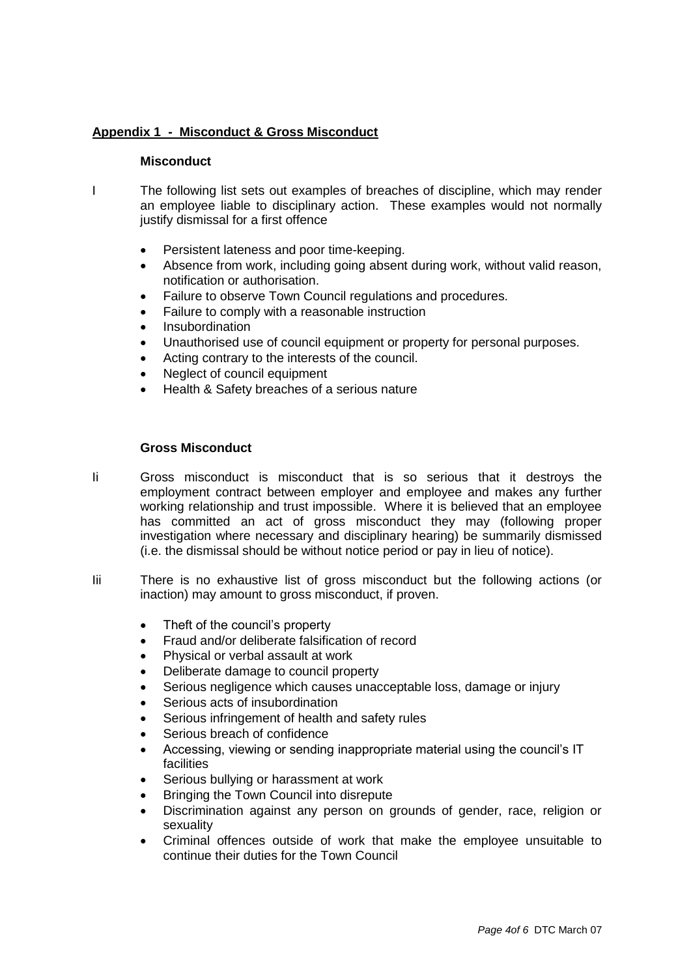# **Appendix 1 - Misconduct & Gross Misconduct**

#### **Misconduct**

- I The following list sets out examples of breaches of discipline, which may render an employee liable to disciplinary action. These examples would not normally justify dismissal for a first offence
	- Persistent lateness and poor time-keeping.
	- Absence from work, including going absent during work, without valid reason, notification or authorisation.
	- Failure to observe Town Council regulations and procedures.
	- Failure to comply with a reasonable instruction
	- Insubordination
	- Unauthorised use of council equipment or property for personal purposes.
	- Acting contrary to the interests of the council.
	- Neglect of council equipment
	- Health & Safety breaches of a serious nature

#### **Gross Misconduct**

- Ii Gross misconduct is misconduct that is so serious that it destroys the employment contract between employer and employee and makes any further working relationship and trust impossible. Where it is believed that an employee has committed an act of gross misconduct they may (following proper investigation where necessary and disciplinary hearing) be summarily dismissed (i.e. the dismissal should be without notice period or pay in lieu of notice).
- Iii There is no exhaustive list of gross misconduct but the following actions (or inaction) may amount to gross misconduct, if proven.
	- Theft of the council's property
	- Fraud and/or deliberate falsification of record
	- Physical or verbal assault at work
	- Deliberate damage to council property
	- Serious negligence which causes unacceptable loss, damage or injury
	- Serious acts of insubordination
	- Serious infringement of health and safety rules
	- Serious breach of confidence
	- Accessing, viewing or sending inappropriate material using the council's IT facilities
	- Serious bullying or harassment at work
	- Bringing the Town Council into disrepute
	- Discrimination against any person on grounds of gender, race, religion or sexuality
	- Criminal offences outside of work that make the employee unsuitable to continue their duties for the Town Council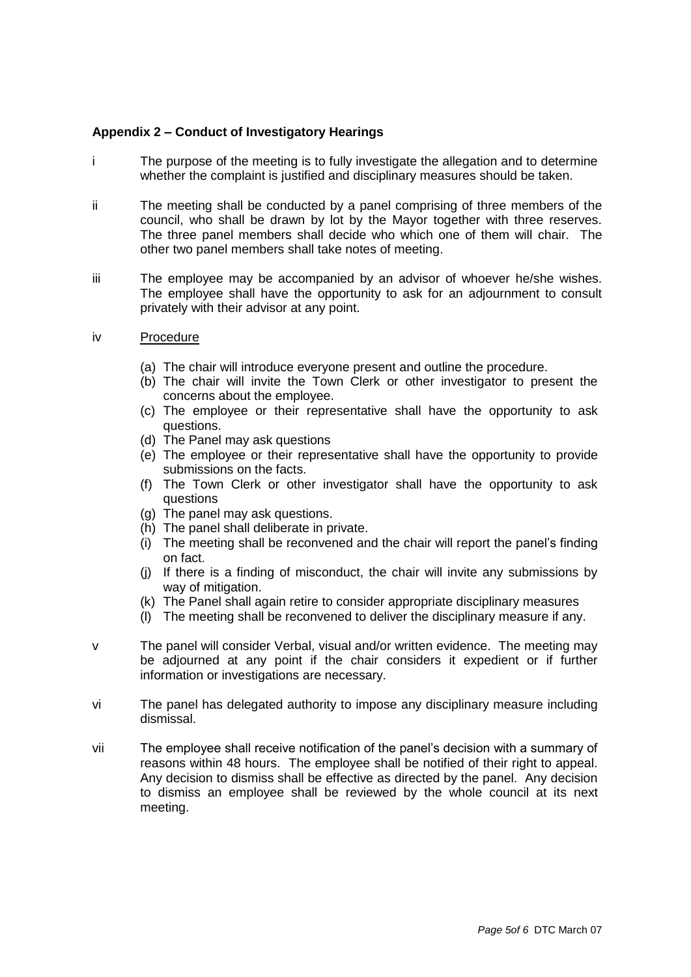### **Appendix 2 – Conduct of Investigatory Hearings**

- i The purpose of the meeting is to fully investigate the allegation and to determine whether the complaint is justified and disciplinary measures should be taken.
- ii The meeting shall be conducted by a panel comprising of three members of the council, who shall be drawn by lot by the Mayor together with three reserves. The three panel members shall decide who which one of them will chair. The other two panel members shall take notes of meeting.
- iii The employee may be accompanied by an advisor of whoever he/she wishes. The employee shall have the opportunity to ask for an adjournment to consult privately with their advisor at any point.
- iv Procedure
	- (a) The chair will introduce everyone present and outline the procedure.
	- (b) The chair will invite the Town Clerk or other investigator to present the concerns about the employee.
	- (c) The employee or their representative shall have the opportunity to ask questions.
	- (d) The Panel may ask questions
	- (e) The employee or their representative shall have the opportunity to provide submissions on the facts.
	- (f) The Town Clerk or other investigator shall have the opportunity to ask questions
	- (g) The panel may ask questions.
	- (h) The panel shall deliberate in private.
	- (i) The meeting shall be reconvened and the chair will report the panel's finding on fact.
	- (j) If there is a finding of misconduct, the chair will invite any submissions by way of mitigation.
	- (k) The Panel shall again retire to consider appropriate disciplinary measures
	- (l) The meeting shall be reconvened to deliver the disciplinary measure if any.
- v The panel will consider Verbal, visual and/or written evidence. The meeting may be adjourned at any point if the chair considers it expedient or if further information or investigations are necessary.
- vi The panel has delegated authority to impose any disciplinary measure including dismissal.
- vii The employee shall receive notification of the panel's decision with a summary of reasons within 48 hours. The employee shall be notified of their right to appeal. Any decision to dismiss shall be effective as directed by the panel. Any decision to dismiss an employee shall be reviewed by the whole council at its next meeting.